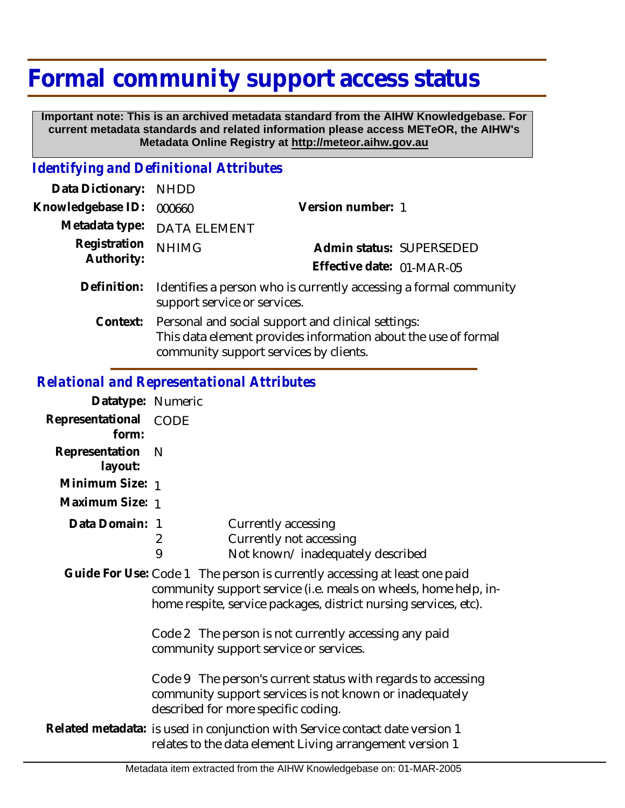# **Formal community support access status**

 **Important note: This is an archived metadata standard from the AIHW Knowledgebase. For current metadata standards and related information please access METeOR, the AIHW's Metadata Online Registry at http://meteor.aihw.gov.au**

## *Identifying and Definitional Attributes*

| Data Dictionary:           | <b>NHDD</b>                                                                                                                                                             |                           |
|----------------------------|-------------------------------------------------------------------------------------------------------------------------------------------------------------------------|---------------------------|
| Knowledgebase ID:          | 000660                                                                                                                                                                  | Version number: 1         |
| Metadata type:             | <b>DATA ELEMENT</b>                                                                                                                                                     |                           |
| Registration<br>Authority: | <b>NHIMG</b>                                                                                                                                                            | Admin status: SUPERSEDED  |
|                            |                                                                                                                                                                         | Effective date: 01-MAR-05 |
| Definition:                | Identifies a person who is currently accessing a formal community<br>support service or services.                                                                       |                           |
|                            | Context: Personal and social support and clinical settings:<br>This data element provides information about the use of formal<br>community support services by clients. |                           |

### *Relational and Representational Attributes*

| Datatype: Numeric              |                                                                                                                                                                                                                  |  |
|--------------------------------|------------------------------------------------------------------------------------------------------------------------------------------------------------------------------------------------------------------|--|
| Representational CODE<br>form: |                                                                                                                                                                                                                  |  |
| Representation<br>layout:      | - N                                                                                                                                                                                                              |  |
| Minimum Size: 1                |                                                                                                                                                                                                                  |  |
| Maximum Size: 1                |                                                                                                                                                                                                                  |  |
| Data Domain: 1                 | Currently accessing<br>Currently not accessing<br>2<br>9<br>Not known/inadequately described                                                                                                                     |  |
|                                | Guide For Use: Code 1 The person is currently accessing at least one paid<br>community support service (i.e. meals on wheels, home help, in-<br>home respite, service packages, district nursing services, etc). |  |
|                                | Code 2 The person is not currently accessing any paid<br>community support service or services.                                                                                                                  |  |
|                                | Code 9 The person's current status with regards to accessing<br>community support services is not known or inadequately<br>described for more specific coding.                                                   |  |
|                                | Related metadata: is used in conjunction with Service contact date version 1<br>relates to the data element Living arrangement version 1                                                                         |  |